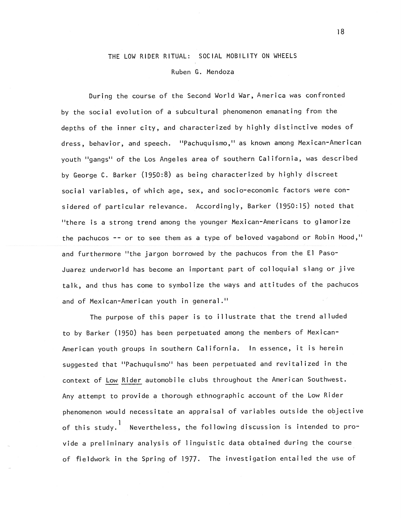# THE LOW RIDER RITUAL: SOCIAL MOBILITY ON WHEELS

### Ruben G. Mendoza

During the course of the Second World War, America was confronted by the social evolution of a subcultural phenomenon emanating from the depths of the inner city, and characterized by highly distinctive modes of dress, behavior, and speech. "Pachuquismo," as known among Mexican-American youth "gangs" of the Los Angeles area of southern California, was described by George C. Barker (1950:8) as being characterized by highly discreet social variables, of which age, sex, and socio-economic factors were considered of particular relevance. Accordingly, Barker (1950:15) noted that "there is a strong trend among the younger Mexican-Americans to glamorize the pachucos -- or to see them as a type of beloved vagabond or Robin Hood," and furthermore "the jargon borrowed by the pachucos from the El Paso-Juarez underworld has become an important part of colloquial slang or jive talk, and thus has come to symbolize the ways and attitudes of the pachucos and of Mexican-American youth in general."

The purpose of this paper is to illustrate that the trend alluded to by Barker (1950) has been perpetuated among the members of Mexican-American youth groups in southern California. In essence, it is herein suggested that "Pachuquismo" has been perpetuated and revitalized in the context of Low Rider automobile clubs throughout the American Southwest. Any attempt to provide a thorough ethnographic account of the Low Rider phenomenon would necessitate an appraisal of variables outside the objective of this study.1 Nevertheless, the following discussion is intended to provide a preliminary analysis of linguistic data obtained during the course of fieldwork in the Spring of 1977. The investigation entailed the use of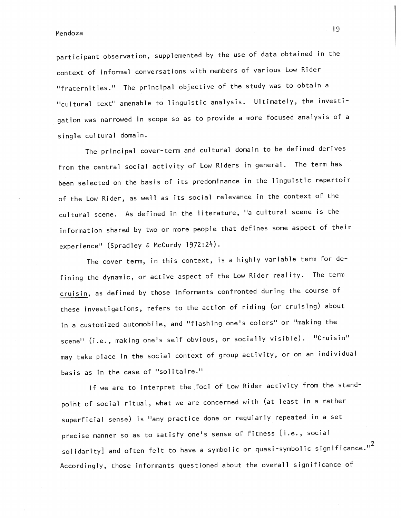endoza di senso di senso di senso di senso di senso di senso di senso di senso di senso di senso di senso di s<br>Nendoza

participant observation, supplemented by the use of data obtained in the context of informal conversations with members of various Low Rider "fraternities." The principal objective of the study was to obtain a "cultural text" amenable to linguistic analysis. Ultimately, the investigation was narrowed in scope so as to provide a more focused analysis of a single cultural domain.

The principal cover-term and cultural domain to be defined derives from the central social activity of Low Riders in general. The term has been selected on the basis of its predominance in the linguistic repertoir of the Low Rider, as well as its social relevance in the context of the cultural scene. As defined in the literature, "a cultural scene is the information shared by two or more people that defines some aspect of their experience" (Spradley & McCurdy 1972:24).

The cover term, in this context, is a highly variable term for defining the dynamic, or active aspect of the Low Rider reality. The term cruisin, as defined by those informants confronted during the course of these investigations, refers to the action of riding (or cruising) about in a customized automobile, and "flashing one's colors" or "making the scene" (i.e., making one's self obvious, or socially visible). "Cruisin" may take place in the social context of group activity, or on an individual basis as in the case of "solitaire."

If we are to interpret the foci of Low Rider activity from the standpoint of social ritual, what we are concerned with (at least in a rather superficial sense) is "any practice done or regularly repeated in a set precise manner so as to satisfy one's sense of fitness [i.e., social solidarity] and often felt to have a symbolic or quasi-symbolic significance."<sup>2</sup> Accordingly, those informants questioned about the overall significance of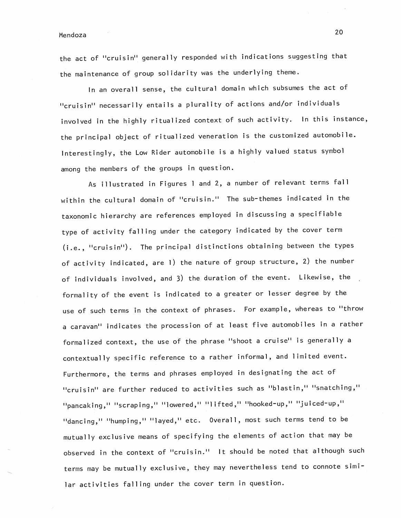the act of "cruisin" generally responded with indications suggesting that the maintenance of group solidarity was the underlying theme.

In an overall sense, the cultural domain which subsumes the act of "cruisin" necessarily entails a plurality of actions and/or individuals involved in the highly ritualized context of such activity. In this instance, the principal object of ritualized veneration is the customized automobile. Interestingly, the Low Rider automobile is a highly valued status symbol among the members of the groups in question.

As illustrated in Figures <sup>1</sup> and 2, a number of relevant terms fall within the cultural domain of "cruisin." The sub-themes indicated in the taxonomic hierarchy are references employed in discussing a specifiable type of activity falling under the category indicated by the cover term (i.e., "cruisin"). The principal distinctions obtaining between the types of activity indicated, are 1) the nature of group structure, 2) the number of individuals involved, and 3) the duration of the event. Likewise, the formality of the event is indicated to a greater or lesser degree by the use of such terms in the context of phrases. For example, whereas to "throw a caravan" indicates the procession of at least five automobiles in a rather formalized context, the use of the phrase "shoot a cruise" is generally a contextually specific reference to a rather informal, and limited event. Furthermore, the terms and phrases employed in designating the act of "cruisin" are further reduced to activities such as "blastin," "snatching," "pancaking," "scraping," "lowered," "lifted," "hooked—up," "juiced—up," "dancing," "humping," "layed," etc. Overall, most such terms tend to be mutually exclusive means of specifying the elements of action that may be observed in the context of "cruisin." It should be noted that although such terms may be mutually exclusive, they may nevertheless tend to connote similar activities falling under the cover term in question.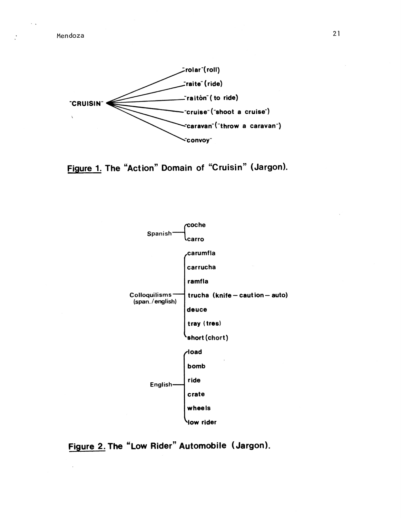$\ddotsc$ 

 $\cdot$ 









 $21$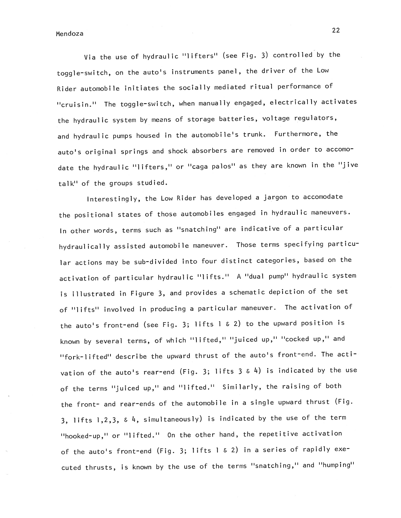Via the use of hydraulic "lifters" (see Fig. 3) controlled by the toggle-switch, on the auto's instruments panel, the driver of the Low Rider automobile initiates the socially mediated ritual performance of "cruisin." The toggle-switch, when manually engaged, electrically activates the hydraulic system by means of storage batteries, voltage regulators, and hydraulic pumps housed in the automobile's trunk. Furthermore, the auto's original springs and shock absorbers are removed in order to accomodate the hydraulic "lifters," or "caga palos" as they are known in the "jive talk" of the groups studied.

Interestingly, the Low Rider has developed a jargon to accomodate the positional states of those automobiles engaged in hydraulic maneuvers. In other words, terms such as "snatching" are indicative of a particular hydraulically assisted automobile maneuver. Those terms specifying particular actions may be sub-divided into four distinct categories, based on the activation of particular hydraulic "lifts." A "dual pump" hydraulic system is illustrated in Figure 3, and provides a schematic depiction of the set of "lifts" involved in producing a particular maneuver. The activation of the auto's front—end (see Fig. 3; lifts <sup>1</sup> & 2) to the upward position is known by several terms, of which "lifted," "juiced up," "cocked up," and "fork-lifted" describe the upward thrust of the auto's front-end. The activation of the auto's rear-end (Fig. 3; lifts  $3 \& 4$ ) is indicated by the use of the terms "juiced up," and "lifted.' Similarly, the raising of both the front- and rear-ends of the automobile in a single upward thrust (Fig. 3, lifts 1,2,3, & 4, simultaneously) is indicated by the use of the term "hooked-up," or "lifted." On the other hand, the repetitive activation of the auto's front-end (Fig. 3; lifts <sup>I</sup> & 2) in a series of rapidly executed thrusts, is known by the use of the terms "snatching," and "humping"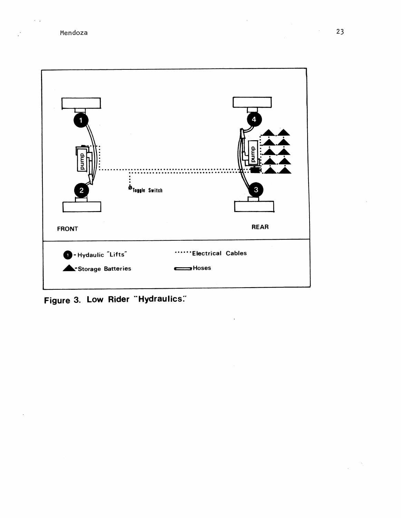$\sim$   $\sim$ 

 $\mathbf{R}^{\mathbf{A}}$ 



Figure 3. Low Rider "Hydraulics."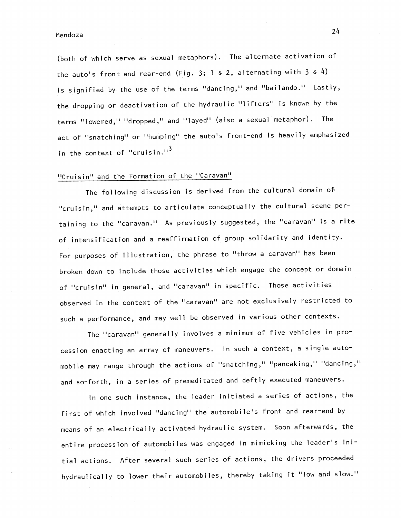(both of which serve as sexual metaphors). The alternate activation of the auto's front and rear-end (Fig. 3; 1 & 2, alternating with 3 & 4) is signified by the use of the terms "dancing," and "bailando." Lastly, the dropping or deactivation of the hydraulic "lifters" is known by the terms "lowered," "dropped," and "1ayed" (also a sexual metaphor). The act of "snatching" or "humping" the auto's front—end is heavily emphasized in the context of "cruisin."<sup>3</sup>

## "Cruisin" and the Formation of the "Caravan"

The following discussion is derived from the cultural domain of "cruisin," and attempts to articulate conceptually the cultural scene pertaining to the "caravan." As previously suggested, the "caravan" is a rite of intensification and a reaffirmation of group solidarity and identity. For purposes of illustration, the phrase to "throw a caravan" has been broken down to include those activities which engage the concept or domain of "cruisin" in general, and "caravan" in specific. Those activities observed in the context of the "caravan" are not exclusively restricted to such a performance, and may well be observed in various other contexts.

The "caravan" generally involves a minimum of five vehicles in procession enacting an array of maneuvers. In such a context, a single automobile may range through the actions of "snatching," "pancaking," "dancing," and so-forth, in a series of premeditated and deftly executed maneuvers.

In one such instance, the leader initiated a series of actions, the first of which involved "dancing" the automobile's front and rear—end by means of an electrically activated hydraulic system. Soon afterwards, the entire procession of automobiles was engaged in mimicking the leader's initial actions. After several such series of actions, the drivers proceeded hydraulically to lower their automobiles, thereby taking it "low and slow."

24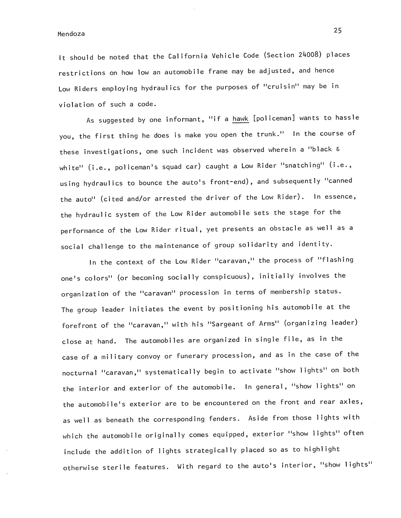It should be noted that the California Vehicle Code (Section 24008) places restrictions on how low an automobile frame may be adjusted, and hence Low Riders employing hydraulics for the purposes of "cruisin" may be in violation of such a code.

As suggested by one informant, "if a hawk [policeman] wants to hassle you, the first thing he does is make you open the trunk." In the course of these investigations, one such incident was observed wherein a "black & white" (i.e., policeman's squad car) caught a Low Rider "snatching" (i.e., using hydraulics to bounce the auto's front-end), and subsequently "canned the auto" (cited and/or arrested the driver of the Low Rider). In essence, the hydraulic system of the Low Rider automobile sets the stage for the performance of the Low Rider ritual, yet presents an obstacle as well as a social challenge to the maintenance of group solidarity and identity.

In the context of the Low Rider "caravan," the process of "flashing one's colors" (or becoming socially conspicuous), initially involves the organization of the "caravan" procession in terms of membership status. The group leader initiates the event by positioning his automobile at the forefront of the "caravan," with his "Sargeant of Arms" (organizing leader) close at hand. The automobiles are organized in single file, as in the case of a military convoy or funerary procession, and as in the case of the nocturnal "caravan," systematically begin to activate "show lights" on both the interior and exterior of the automobile. In general, "show lights" on the automobile's exterior are to be encountered on the front and rear axles, as well as beneath the corresponding fenders. Aside from those lights with which the automobile originally comes equipped, exterior "show lights" often include the addition of lights strategically placed so as to highlight otherwise sterile features. With regard to the auto's interior, "show lights"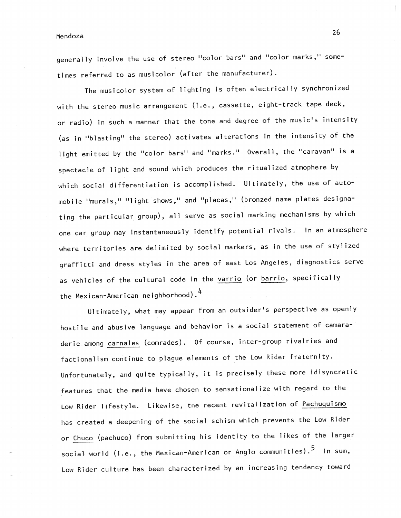generally involve the use of stereo "color bars" and "color marks," sometimes referred to as musicolor (after the manufacturer).

The musicolor system of lighting is often electrically synchronized with the stereo music arrangement (i.e., cassette, eight-track tape deck, or radio) in such a manner that the tone and degree of the music's intensity (as in "blasting" the stereo) activates alterations in the intensity of the light emitted by the "color bars" and "marks." Overall, the "caravan" is a spectacle of light and sound which produces the ritualized atmophere by which social differentiation is accomplished. Ultimately, the use of automobile "murals," "light shows," and "placas," (bronzed name plates designating the particular group), all serve as social marking mechanisms by which one car group may instantaneously identify potential rivals. In an atmosphere where territories are delimited by social markers, as in the use of stylized graffitti and dress styles in the area of east Los Angeles, diagnostics serve as vehicles of the cultural code in the varrio (or barrio, specifically the Mexican-American neighborhood).<sup>4</sup>

Ultimately, what may appear from an outsider's perspective as openly hostile and abusive language and behavior is a social statement of camaraderie among carnales (comrades). Of course, inter-group rivalries and factionalism continue to plague elements of the Low Rider fraternity. Unfortunately, and quite typically, it is precisely these more idisyncratic features that the media have chosen to sensationalize with regard to the Low Rider lifestyle. Likewise, the recent revitalization of Pachuquismo has created a deepening of the social schism which prevents the Low Rider or Chuco (pachuco) from submitting his identity to the likes of the larger social world (i.e., the Mexican-American or Anglo communities).  $^5$  In sum, Low Rider culture has been characterized by an increasing tendency toward